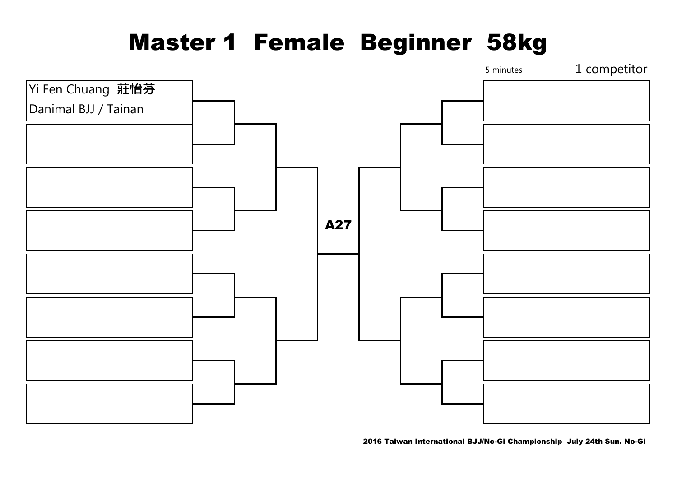## Master 1 Female Beginner 58kg



2016 Taiwan International BJJ/No-Gi Championship July 24th Sun. No-Gi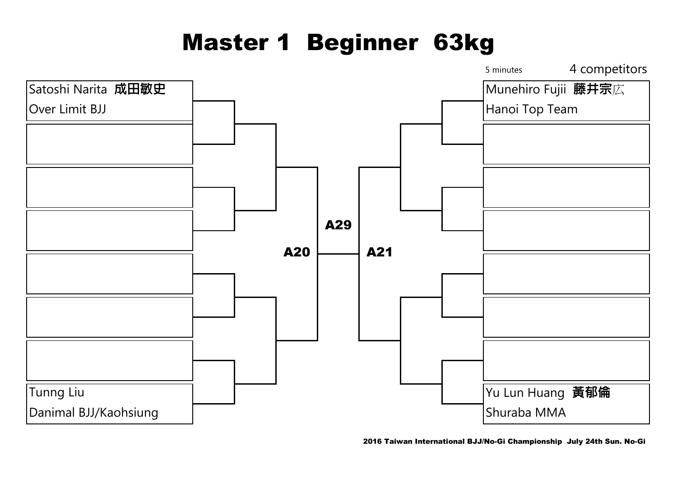## Master 1 Beginner 63kg

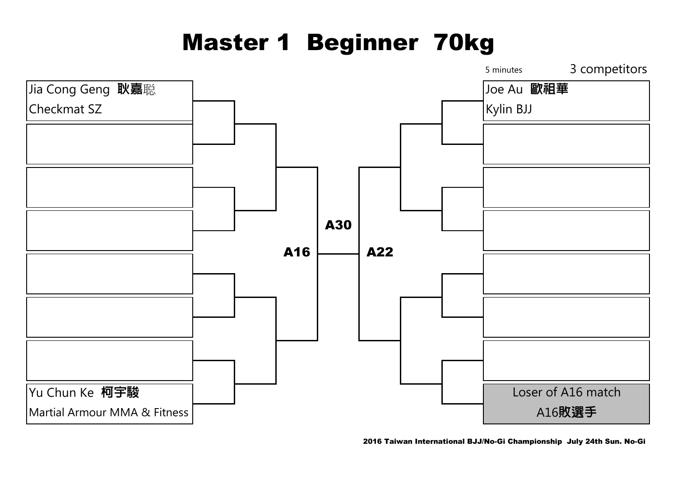## Master 1 Beginner 70kg

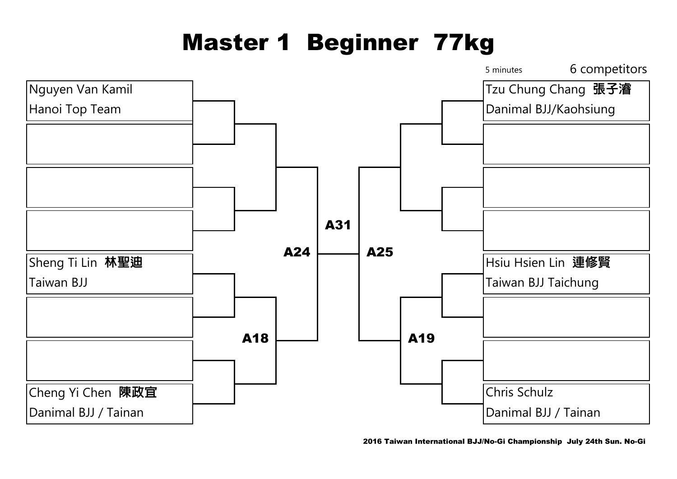# Master 1 Beginner 77kg

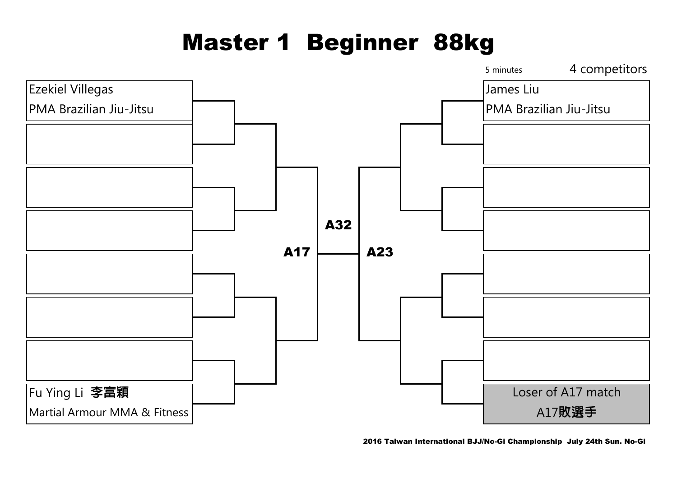# Master 1 Beginner 88kg



2016 Taiwan International BJJ/No-Gi Championship July 24th Sun. No-Gi